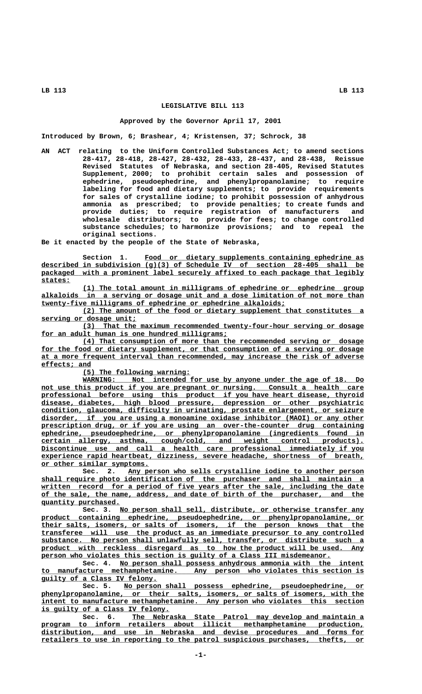### **LEGISLATIVE BILL 113**

#### **Approved by the Governor April 17, 2001**

**Introduced by Brown, 6; Brashear, 4; Kristensen, 37; Schrock, 38**

**AN ACT relating to the Uniform Controlled Substances Act; to amend sections 28-417, 28-418, 28-427, 28-432, 28-433, 28-437, and 28-438, Reissue Revised Statutes of Nebraska, and section 28-405, Revised Statutes Supplement, 2000; to prohibit certain sales and possession of ephedrine, pseudoephedrine, and phenylpropanolamine; to require labeling for food and dietary supplements; to provide requirements for sales of crystalline iodine; to prohibit possession of anhydrous ammonia as prescribed; to provide penalties; to create funds and provide duties; to require registration of manufacturers and wholesale distributors; to provide for fees; to change controlled substance schedules; to harmonize provisions; and to repeal the original sections.**

**Be it enacted by the people of the State of Nebraska,**

 **\_\_\_\_\_\_\_\_\_\_\_\_\_\_\_\_\_\_\_\_\_\_\_\_\_\_\_\_\_\_\_\_\_\_\_\_\_\_\_\_\_\_\_\_\_\_\_\_\_\_\_\_\_ Section 1. Food or dietary supplements containing ephedrine as \_\_\_\_\_\_\_\_\_\_\_\_\_\_\_\_\_\_\_\_\_\_\_\_\_\_\_\_\_\_\_\_\_\_\_\_\_\_\_\_\_\_\_\_\_\_\_\_\_\_\_\_\_\_\_\_\_\_\_\_\_\_\_\_\_\_\_\_\_\_\_\_\_\_\_\_\_\_ described in subdivision (g)(3) of Schedule IV of section 28-405 shall be** packaged with a prominent label securely affixed to each package that legibly  **states: \_\_\_\_\_\_\_**

 **\_\_\_\_\_\_\_\_\_\_\_\_\_\_\_\_\_\_\_\_\_\_\_\_\_\_\_\_\_\_\_\_\_\_\_\_\_\_\_\_\_\_\_\_\_\_\_\_\_\_\_\_\_\_\_\_\_\_\_\_\_\_\_\_\_\_\_\_ (1) The total amount in milligrams of ephedrine or ephedrine group** alkaloids in a serving or dosage unit and a dose limitation of not more than  **\_\_\_\_\_\_\_\_\_\_\_\_\_\_\_\_\_\_\_\_\_\_\_\_\_\_\_\_\_\_\_\_\_\_\_\_\_\_\_\_\_\_\_\_\_\_\_\_\_\_\_\_\_\_\_\_\_\_\_ twenty-five milligrams of ephedrine or ephedrine alkaloids;**

 **\_\_\_\_\_\_\_\_\_\_\_\_\_\_\_\_\_\_\_\_\_\_\_\_\_\_\_\_\_\_\_\_\_\_\_\_\_\_\_\_\_\_\_\_\_\_\_\_\_\_\_\_\_\_\_\_\_\_\_\_\_\_\_\_\_\_\_\_ (2) The amount of the food or dietary supplement that constitutes a \_\_\_\_\_\_\_\_\_\_\_\_\_\_\_\_\_\_\_\_\_\_\_ serving or dosage unit;**

 **\_\_\_\_\_\_\_\_\_\_\_\_\_\_\_\_\_\_\_\_\_\_\_\_\_\_\_\_\_\_\_\_\_\_\_\_\_\_\_\_\_\_\_\_\_\_\_\_\_\_\_\_\_\_\_\_\_\_\_\_\_\_\_\_\_\_\_\_ (3) That the maximum recommended twenty-four-hour serving or dosage** for an adult human is one hundred milligrams;

 **\_\_\_\_\_\_\_\_\_\_\_\_\_\_\_\_\_\_\_\_\_\_\_\_\_\_\_\_\_\_\_\_\_\_\_\_\_\_\_\_\_\_\_\_\_\_\_\_\_\_\_\_\_\_\_\_\_\_\_\_\_\_\_\_\_\_\_\_ (4) That consumption of more than the recommended serving or dosage** for the food or dietary supplement, or that consumption of a serving or dosage  **\_\_\_\_\_\_\_\_\_\_\_\_\_\_\_\_\_\_\_\_\_\_\_\_\_\_\_\_\_\_\_\_\_\_\_\_\_\_\_\_\_\_\_\_\_\_\_\_\_\_\_\_\_\_\_\_\_\_\_\_\_\_\_\_\_\_\_\_\_\_\_\_\_\_\_\_\_\_ at a more frequent interval than recommended, may increase the risk of adverse effects; and \_\_\_\_\_\_\_\_\_\_\_\_**

 **\_\_\_\_\_\_\_\_\_\_\_\_\_\_\_\_\_\_\_\_\_\_\_\_\_\_ (5) The following warning:**

**MARNING:** Not intended for use by anyone under the age of 18. Do not use this product if you are pregnant or nursing. Consult a health care  **\_\_\_\_\_\_\_\_\_\_\_\_\_\_\_\_\_\_\_\_\_\_\_\_\_\_\_\_\_\_\_\_\_\_\_\_\_\_\_\_\_\_\_\_\_\_\_\_\_\_\_\_\_\_\_\_\_\_\_\_\_\_\_\_\_\_\_\_\_\_\_\_\_\_\_\_\_\_ professional before using this product if you have heart disease, thyroid \_\_\_\_\_\_\_\_\_\_\_\_\_\_\_\_\_\_\_\_\_\_\_\_\_\_\_\_\_\_\_\_\_\_\_\_\_\_\_\_\_\_\_\_\_\_\_\_\_\_\_\_\_\_\_\_\_\_\_\_\_\_\_\_\_\_\_\_\_\_\_\_\_\_\_\_\_\_ disease, diabetes, high blood pressure, depression or other psychiatric \_\_\_\_\_\_\_\_\_\_\_\_\_\_\_\_\_\_\_\_\_\_\_\_\_\_\_\_\_\_\_\_\_\_\_\_\_\_\_\_\_\_\_\_\_\_\_\_\_\_\_\_\_\_\_\_\_\_\_\_\_\_\_\_\_\_\_\_\_\_\_\_\_\_\_\_\_\_ condition, glaucoma, difficulty in urinating, prostate enlargement, or seizure \_\_\_\_\_\_\_\_\_\_\_\_\_\_\_\_\_\_\_\_\_\_\_\_\_\_\_\_\_\_\_\_\_\_\_\_\_\_\_\_\_\_\_\_\_\_\_\_\_\_\_\_\_\_\_\_\_\_\_\_\_\_\_\_\_\_\_\_\_\_\_\_\_\_\_\_\_\_ disorder, if you are using a monoamine oxidase inhibitor (MAOI) or any other** prescription drug, or if you are using an over-the-counter drug containing  **\_\_\_\_\_\_\_\_\_\_\_\_\_\_\_\_\_\_\_\_\_\_\_\_\_\_\_\_\_\_\_\_\_\_\_\_\_\_\_\_\_\_\_\_\_\_\_\_\_\_\_\_\_\_\_\_\_\_\_\_\_\_\_\_\_\_\_\_\_\_\_\_\_\_\_\_\_\_ ephedrine, pseudoephedrine, or phenylpropanolamine (ingredients found in \_\_\_\_\_\_\_\_\_\_\_\_\_\_\_\_\_\_\_\_\_\_\_\_\_\_\_\_\_\_\_\_\_\_\_\_\_\_\_\_\_\_\_\_\_\_\_\_\_\_\_\_\_\_\_\_\_\_\_\_\_\_\_\_\_\_\_\_\_\_\_\_\_\_\_\_\_\_ certain allergy, asthma, cough/cold, and weight control products). \_\_\_\_\_\_\_\_\_\_\_\_\_\_\_\_\_\_\_\_\_\_\_\_\_\_\_\_\_\_\_\_\_\_\_\_\_\_\_\_\_\_\_\_\_\_\_\_\_\_\_\_\_\_\_\_\_\_\_\_\_\_\_\_\_\_\_\_\_\_\_\_\_\_\_\_\_\_ Discontinue use and call a health care professional immediately if you \_\_\_\_\_\_\_\_\_\_\_\_\_\_\_\_\_\_\_\_\_\_\_\_\_\_\_\_\_\_\_\_\_\_\_\_\_\_\_\_\_\_\_\_\_\_\_\_\_\_\_\_\_\_\_\_\_\_\_\_\_\_\_\_\_\_\_\_\_\_\_\_\_\_\_\_\_\_ experience rapid heartbeat, dizziness, severe headache, shortness of breath, \_\_\_\_\_\_\_\_\_\_\_\_\_\_\_\_\_\_\_\_\_\_\_\_\_\_ or other similar symptoms.**

 **\_\_\_\_\_\_\_\_\_\_\_\_\_\_\_\_\_\_\_\_\_\_\_\_\_\_\_\_\_\_\_\_\_\_\_\_\_\_\_\_\_\_\_\_\_\_\_\_\_\_\_\_\_\_\_\_\_ Sec. 2. Any person who sells crystalline iodine to another person \_\_\_\_\_\_\_\_\_\_\_\_\_\_\_\_\_\_\_\_\_\_\_\_\_\_\_\_\_\_\_\_\_\_\_\_\_\_\_\_\_\_\_\_\_\_\_\_\_\_\_\_\_\_\_\_\_\_\_\_\_\_\_\_\_\_\_\_\_\_\_\_\_\_\_\_\_\_ shall require photo identification of the purchaser and shall maintain a \_\_\_\_\_\_\_\_\_\_\_\_\_\_\_\_\_\_\_\_\_\_\_\_\_\_\_\_\_\_\_\_\_\_\_\_\_\_\_\_\_\_\_\_\_\_\_\_\_\_\_\_\_\_\_\_\_\_\_\_\_\_\_\_\_\_\_\_\_\_\_\_\_\_\_\_\_\_ written record for a period of five years after the sale, including the date \_\_\_\_\_\_\_\_\_\_\_\_\_\_\_\_\_\_\_\_\_\_\_\_\_\_\_\_\_\_\_\_\_\_\_\_\_\_\_\_\_\_\_\_\_\_\_\_\_\_\_\_\_\_\_\_\_\_\_\_\_\_\_\_\_\_\_\_\_\_\_\_\_\_\_\_\_\_ of the sale, the name, address, and date of birth of the purchaser, and the quantity purchased. \_\_\_\_\_\_\_\_\_\_\_\_\_\_\_\_\_\_\_**

 **\_\_\_\_\_\_\_\_\_\_\_\_\_\_\_\_\_\_\_\_\_\_\_\_\_\_\_\_\_\_\_\_\_\_\_\_\_\_\_\_\_\_\_\_\_\_\_\_\_\_\_\_\_\_\_\_\_\_\_ Sec. 3. No person shall sell, distribute, or otherwise transfer any \_\_\_\_\_\_\_\_\_\_\_\_\_\_\_\_\_\_\_\_\_\_\_\_\_\_\_\_\_\_\_\_\_\_\_\_\_\_\_\_\_\_\_\_\_\_\_\_\_\_\_\_\_\_\_\_\_\_\_\_\_\_\_\_\_\_\_\_\_\_\_\_\_\_\_\_\_\_ product containing ephedrine, pseudoephedrine, or phenylpropanolamine, or \_\_\_\_\_\_\_\_\_\_\_\_\_\_\_\_\_\_\_\_\_\_\_\_\_\_\_\_\_\_\_\_\_\_\_\_\_\_\_\_\_\_\_\_\_\_\_\_\_\_\_\_\_\_\_\_\_\_\_\_\_\_\_\_\_\_\_\_\_\_\_\_\_\_\_\_\_\_ their salts, isomers, or salts of isomers, if the person knows that the \_\_\_\_\_\_\_\_\_\_\_\_\_\_\_\_\_\_\_\_\_\_\_\_\_\_\_\_\_\_\_\_\_\_\_\_\_\_\_\_\_\_\_\_\_\_\_\_\_\_\_\_\_\_\_\_\_\_\_\_\_\_\_\_\_\_\_\_\_\_\_\_\_\_\_\_\_\_ transferee will use the product as an immediate precursor to any controlled \_\_\_\_\_\_\_\_\_\_\_\_\_\_\_\_\_\_\_\_\_\_\_\_\_\_\_\_\_\_\_\_\_\_\_\_\_\_\_\_\_\_\_\_\_\_\_\_\_\_\_\_\_\_\_\_\_\_\_\_\_\_\_\_\_\_\_\_\_\_\_\_\_\_\_\_\_\_ substance. No person shall unlawfully sell, transfer, or distribute such a \_\_\_\_\_\_\_\_\_\_\_\_\_\_\_\_\_\_\_\_\_\_\_\_\_\_\_\_\_\_\_\_\_\_\_\_\_\_\_\_\_\_\_\_\_\_\_\_\_\_\_\_\_\_\_\_\_\_\_\_\_\_\_\_\_\_\_\_\_\_\_\_\_\_\_\_\_\_ product with reckless disregard as to how the product will be used. Any \_\_\_\_\_\_\_\_\_\_\_\_\_\_\_\_\_\_\_\_\_\_\_\_\_\_\_\_\_\_\_\_\_\_\_\_\_\_\_\_\_\_\_\_\_\_\_\_\_\_\_\_\_\_\_\_\_\_\_\_\_\_\_\_\_\_\_\_\_\_ person who violates this section is guilty of a Class III misdemeanor.**

 **\_\_\_\_\_\_\_\_\_\_\_\_\_\_\_\_\_\_\_\_\_\_\_\_\_\_\_\_\_\_\_\_\_\_\_\_\_\_\_\_\_\_\_\_\_\_\_\_\_\_\_\_\_\_\_\_\_\_\_ Sec. 4. No person shall possess anhydrous ammonia with the intent \_\_\_\_\_\_\_\_\_\_\_\_\_\_\_\_\_\_\_\_\_\_\_\_\_\_\_\_\_\_\_\_\_\_\_\_\_\_\_\_\_\_\_\_\_\_\_\_\_\_\_\_\_\_\_\_\_\_\_\_\_\_\_\_\_\_\_\_\_\_\_\_\_\_\_\_\_\_ to manufacture methamphetamine. Any person who violates this section is \_\_\_\_\_\_\_\_\_\_\_\_\_\_\_\_\_\_\_\_\_\_\_\_\_\_\_\_ guilty of a Class IV felony.**

 **\_\_\_\_\_\_\_\_\_\_\_\_\_\_\_\_\_\_\_\_\_\_\_\_\_\_\_\_\_\_\_\_\_\_\_\_\_\_\_\_\_\_\_\_\_\_\_\_\_\_\_\_\_\_\_\_\_\_ Sec. 5. No person shall possess ephedrine, pseudoephedrine, or \_\_\_\_\_\_\_\_\_\_\_\_\_\_\_\_\_\_\_\_\_\_\_\_\_\_\_\_\_\_\_\_\_\_\_\_\_\_\_\_\_\_\_\_\_\_\_\_\_\_\_\_\_\_\_\_\_\_\_\_\_\_\_\_\_\_\_\_\_\_\_\_\_\_\_\_\_\_ phenylpropanolamine, or their salts, isomers, or salts of isomers, with the \_\_\_\_\_\_\_\_\_\_\_\_\_\_\_\_\_\_\_\_\_\_\_\_\_\_\_\_\_\_\_\_\_\_\_\_\_\_\_\_\_\_\_\_\_\_\_\_\_\_\_\_\_\_\_\_\_\_\_\_\_\_\_\_\_\_\_\_\_\_\_\_\_\_\_\_\_\_ intent to manufacture methamphetamine. Any person who violates this section \_\_\_\_\_\_\_\_\_\_\_\_\_\_\_\_\_\_\_\_\_\_\_\_\_\_\_\_\_\_\_ is guilty of a Class IV felony.**

 **\_\_\_\_\_\_\_\_\_\_\_\_\_\_\_\_\_\_\_\_\_\_\_\_\_\_\_\_\_\_\_\_\_\_\_\_\_\_\_\_\_\_\_\_\_\_\_\_\_\_\_\_\_\_\_\_ Sec. 6. The Nebraska State Patrol may develop and maintain a \_\_\_\_\_\_\_\_\_\_\_\_\_\_\_\_\_\_\_\_\_\_\_\_\_\_\_\_\_\_\_\_\_\_\_\_\_\_\_\_\_\_\_\_\_\_\_\_\_\_\_\_\_\_\_\_\_\_\_\_\_\_\_\_\_\_\_\_\_\_\_\_\_\_\_\_\_\_ program to inform retailers about illicit methamphetamine production,**  ${\tt distribution,}$  and use in Nebraska and devise procedures and forms for  **\_\_\_\_\_\_\_\_\_\_\_\_\_\_\_\_\_\_\_\_\_\_\_\_\_\_\_\_\_\_\_\_\_\_\_\_\_\_\_\_\_\_\_\_\_\_\_\_\_\_\_\_\_\_\_\_\_\_\_\_\_\_\_\_\_\_\_\_\_\_\_\_\_\_\_\_\_\_ retailers to use in reporting to the patrol suspicious purchases, thefts, or**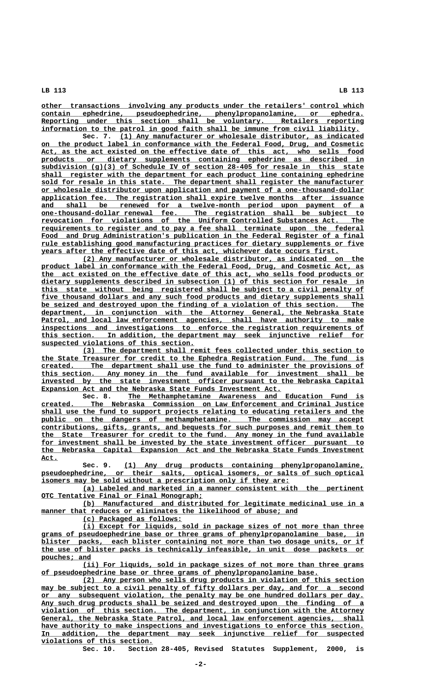**\_\_\_\_\_\_\_\_\_\_\_\_\_\_\_\_\_\_\_\_\_\_\_\_\_\_\_\_\_\_\_\_\_\_\_\_\_\_\_\_\_\_\_\_\_\_\_\_\_\_\_\_\_\_\_\_\_\_\_\_\_\_\_\_\_\_\_\_\_\_\_\_\_\_\_\_\_\_ other transactions involving any products under the retailers' control which \_\_\_\_\_\_\_\_\_\_\_\_\_\_\_\_\_\_\_\_\_\_\_\_\_\_\_\_\_\_\_\_\_\_\_\_\_\_\_\_\_\_\_\_\_\_\_\_\_\_\_\_\_\_\_\_\_\_\_\_\_\_\_\_\_\_\_\_\_\_\_\_\_\_\_\_\_\_ contain ephedrine, pseudoephedrine, phenylpropanolamine, or ephedra.** Reporting under this section shall be voluntary. Retailers reporting  **\_\_\_\_\_\_\_\_\_\_\_\_\_\_\_\_\_\_\_\_\_\_\_\_\_\_\_\_\_\_\_\_\_\_\_\_\_\_\_\_\_\_\_\_\_\_\_\_\_\_\_\_\_\_\_\_\_\_\_\_\_\_\_\_\_\_\_\_\_\_\_\_\_\_\_\_\_ information to the patrol in good faith shall be immune from civil liability.**

 **\_\_\_\_\_\_\_\_\_\_\_\_\_\_\_\_\_\_\_\_\_\_\_\_\_\_\_\_\_\_\_\_\_\_\_\_\_\_\_\_\_\_\_\_\_\_\_\_\_\_\_\_\_\_\_\_\_\_\_ Sec. 7. (1) Any manufacturer or wholesale distributor, as indicated \_\_\_\_\_\_\_\_\_\_\_\_\_\_\_\_\_\_\_\_\_\_\_\_\_\_\_\_\_\_\_\_\_\_\_\_\_\_\_\_\_\_\_\_\_\_\_\_\_\_\_\_\_\_\_\_\_\_\_\_\_\_\_\_\_\_\_\_\_\_\_\_\_\_\_\_\_\_ on the product label in conformance with the Federal Food, Drug, and Cosmetic** Act, as the act existed on the effective date of this act, who sells food  **\_\_\_\_\_\_\_\_\_\_\_\_\_\_\_\_\_\_\_\_\_\_\_\_\_\_\_\_\_\_\_\_\_\_\_\_\_\_\_\_\_\_\_\_\_\_\_\_\_\_\_\_\_\_\_\_\_\_\_\_\_\_\_\_\_\_\_\_\_\_\_\_\_\_\_\_\_\_ products or dietary supplements containing ephedrine as described in \_\_\_\_\_\_\_\_\_\_\_\_\_\_\_\_\_\_\_\_\_\_\_\_\_\_\_\_\_\_\_\_\_\_\_\_\_\_\_\_\_\_\_\_\_\_\_\_\_\_\_\_\_\_\_\_\_\_\_\_\_\_\_\_\_\_\_\_\_\_\_\_\_\_\_\_\_\_ subdivision (g)(3) of Schedule IV of section 28-405 for resale in this state \_\_\_\_\_\_\_\_\_\_\_\_\_\_\_\_\_\_\_\_\_\_\_\_\_\_\_\_\_\_\_\_\_\_\_\_\_\_\_\_\_\_\_\_\_\_\_\_\_\_\_\_\_\_\_\_\_\_\_\_\_\_\_\_\_\_\_\_\_\_\_\_\_\_\_\_\_\_ shall register with the department for each product line containing ephedrine** sold for resale in this state. The department shall register the manufacturer  **\_\_\_\_\_\_\_\_\_\_\_\_\_\_\_\_\_\_\_\_\_\_\_\_\_\_\_\_\_\_\_\_\_\_\_\_\_\_\_\_\_\_\_\_\_\_\_\_\_\_\_\_\_\_\_\_\_\_\_\_\_\_\_\_\_\_\_\_\_\_\_\_\_\_\_\_\_\_ or wholesale distributor upon application and payment of a one-thousand-dollar \_\_\_\_\_\_\_\_\_\_\_\_\_\_\_\_\_\_\_\_\_\_\_\_\_\_\_\_\_\_\_\_\_\_\_\_\_\_\_\_\_\_\_\_\_\_\_\_\_\_\_\_\_\_\_\_\_\_\_\_\_\_\_\_\_\_\_\_\_\_\_\_\_\_\_\_\_\_ application fee. The registration shall expire twelve months after issuance** and shall be renewed for a twelve-month period upon payment of a<br>one-thousand-dollar renewal fee. The registration shall be subject to  **\_\_\_\_\_\_\_\_\_\_\_\_\_\_\_\_\_\_\_\_\_\_\_\_\_\_\_\_\_\_\_\_\_\_\_\_\_\_\_\_\_\_\_\_\_\_\_\_\_\_\_\_\_\_\_\_\_\_\_\_\_\_\_\_\_\_\_\_\_\_\_\_\_\_\_\_\_\_ one-thousand-dollar renewal fee. The registration shall be subject to**  ${\tt revocation}$  for violations of the Uniform Controlled Substances Act. The  **\_\_\_\_\_\_\_\_\_\_\_\_\_\_\_\_\_\_\_\_\_\_\_\_\_\_\_\_\_\_\_\_\_\_\_\_\_\_\_\_\_\_\_\_\_\_\_\_\_\_\_\_\_\_\_\_\_\_\_\_\_\_\_\_\_\_\_\_\_\_\_\_\_\_\_\_\_\_ requirements to register and to pay a fee shall terminate upon the federal** Food and Drug Administration's publication in the Federal Register of a final  **\_\_\_\_\_\_\_\_\_\_\_\_\_\_\_\_\_\_\_\_\_\_\_\_\_\_\_\_\_\_\_\_\_\_\_\_\_\_\_\_\_\_\_\_\_\_\_\_\_\_\_\_\_\_\_\_\_\_\_\_\_\_\_\_\_\_\_\_\_\_\_\_\_\_\_\_\_\_ rule establishing good manufacturing practices for dietary supplements or five \_\_\_\_\_\_\_\_\_\_\_\_\_\_\_\_\_\_\_\_\_\_\_\_\_\_\_\_\_\_\_\_\_\_\_\_\_\_\_\_\_\_\_\_\_\_\_\_\_\_\_\_\_\_\_\_\_\_\_\_\_\_\_\_\_\_\_\_\_\_\_\_ years after the effective date of this act, whichever date occurs first.**

 **\_\_\_\_\_\_\_\_\_\_\_\_\_\_\_\_\_\_\_\_\_\_\_\_\_\_\_\_\_\_\_\_\_\_\_\_\_\_\_\_\_\_\_\_\_\_\_\_\_\_\_\_\_\_\_\_\_\_\_\_\_\_\_\_\_\_\_\_ (2) Any manufacturer or wholesale distributor, as indicated on the \_\_\_\_\_\_\_\_\_\_\_\_\_\_\_\_\_\_\_\_\_\_\_\_\_\_\_\_\_\_\_\_\_\_\_\_\_\_\_\_\_\_\_\_\_\_\_\_\_\_\_\_\_\_\_\_\_\_\_\_\_\_\_\_\_\_\_\_\_\_\_\_\_\_\_\_\_\_ product label in conformance with the Federal Food, Drug, and Cosmetic Act, as \_\_\_\_\_\_\_\_\_\_\_\_\_\_\_\_\_\_\_\_\_\_\_\_\_\_\_\_\_\_\_\_\_\_\_\_\_\_\_\_\_\_\_\_\_\_\_\_\_\_\_\_\_\_\_\_\_\_\_\_\_\_\_\_\_\_\_\_\_\_\_\_\_\_\_\_\_\_ the act existed on the effective date of this act, who sells food products or \_\_\_\_\_\_\_\_\_\_\_\_\_\_\_\_\_\_\_\_\_\_\_\_\_\_\_\_\_\_\_\_\_\_\_\_\_\_\_\_\_\_\_\_\_\_\_\_\_\_\_\_\_\_\_\_\_\_\_\_\_\_\_\_\_\_\_\_\_\_\_\_\_\_\_\_\_\_ dietary supplements described in subsection (1) of this section for resale in \_\_\_\_\_\_\_\_\_\_\_\_\_\_\_\_\_\_\_\_\_\_\_\_\_\_\_\_\_\_\_\_\_\_\_\_\_\_\_\_\_\_\_\_\_\_\_\_\_\_\_\_\_\_\_\_\_\_\_\_\_\_\_\_\_\_\_\_\_\_\_\_\_\_\_\_\_\_ this state without being registered shall be subject to a civil penalty of** five thousand dollars and any such food products and dietary supplements shall  **\_\_\_\_\_\_\_\_\_\_\_\_\_\_\_\_\_\_\_\_\_\_\_\_\_\_\_\_\_\_\_\_\_\_\_\_\_\_\_\_\_\_\_\_\_\_\_\_\_\_\_\_\_\_\_\_\_\_\_\_\_\_\_\_\_\_\_\_\_\_\_\_\_\_\_\_\_\_ be seized and destroyed upon the finding of a violation of this section. The \_\_\_\_\_\_\_\_\_\_\_\_\_\_\_\_\_\_\_\_\_\_\_\_\_\_\_\_\_\_\_\_\_\_\_\_\_\_\_\_\_\_\_\_\_\_\_\_\_\_\_\_\_\_\_\_\_\_\_\_\_\_\_\_\_\_\_\_\_\_\_\_\_\_\_\_\_\_ department, in conjunction with the Attorney General, the Nebraska State** Patrol, and local law enforcement agencies, shall have authority to make  **\_\_\_\_\_\_\_\_\_\_\_\_\_\_\_\_\_\_\_\_\_\_\_\_\_\_\_\_\_\_\_\_\_\_\_\_\_\_\_\_\_\_\_\_\_\_\_\_\_\_\_\_\_\_\_\_\_\_\_\_\_\_\_\_\_\_\_\_\_\_\_\_\_\_\_\_\_\_ inspections and investigations to enforce the registration requirements of \_\_\_\_\_\_\_\_\_\_\_\_\_\_\_\_\_\_\_\_\_\_\_\_\_\_\_\_\_\_\_\_\_\_\_\_\_\_\_\_\_\_\_\_\_\_\_\_\_\_\_\_\_\_\_\_\_\_\_\_\_\_\_\_\_\_\_\_\_\_\_\_\_\_\_\_\_\_ this section. In addition, the department may seek injunctive relief for \_\_\_\_\_\_\_\_\_\_\_\_\_\_\_\_\_\_\_\_\_\_\_\_\_\_\_\_\_\_\_\_\_\_\_\_\_ suspected violations of this section.**

 **\_\_\_\_\_\_\_\_\_\_\_\_\_\_\_\_\_\_\_\_\_\_\_\_\_\_\_\_\_\_\_\_\_\_\_\_\_\_\_\_\_\_\_\_\_\_\_\_\_\_\_\_\_\_\_\_\_\_\_\_\_\_\_\_\_\_\_\_ (3) The department shall remit fees collected under this section to \_\_\_\_\_\_\_\_\_\_\_\_\_\_\_\_\_\_\_\_\_\_\_\_\_\_\_\_\_\_\_\_\_\_\_\_\_\_\_\_\_\_\_\_\_\_\_\_\_\_\_\_\_\_\_\_\_\_\_\_\_\_\_\_\_\_\_\_\_\_\_\_\_\_\_\_\_\_ the State Treasurer for credit to the Ephedra Registration Fund. The fund is \_\_\_\_\_\_\_\_\_\_\_\_\_\_\_\_\_\_\_\_\_\_\_\_\_\_\_\_\_\_\_\_\_\_\_\_\_\_\_\_\_\_\_\_\_\_\_\_\_\_\_\_\_\_\_\_\_\_\_\_\_\_\_\_\_\_\_\_\_\_\_\_\_\_\_\_\_\_ created. The department shall use the fund to administer the provisions of \_\_\_\_\_\_\_\_\_\_\_\_\_\_\_\_\_\_\_\_\_\_\_\_\_\_\_\_\_\_\_\_\_\_\_\_\_\_\_\_\_\_\_\_\_\_\_\_\_\_\_\_\_\_\_\_\_\_\_\_\_\_\_\_\_\_\_\_\_\_\_\_\_\_\_\_\_\_ this section. Any money in the fund available for investment shall be** invested by the state investment officer pursuant to the Nebraska Capital  **\_\_\_\_\_\_\_\_\_\_\_\_\_\_\_\_\_\_\_\_\_\_\_\_\_\_\_\_\_\_\_\_\_\_\_\_\_\_\_\_\_\_\_\_\_\_\_\_\_\_\_\_\_\_\_\_\_\_ Expansion Act and the Nebraska State Funds Investment Act.**

 **\_\_\_\_\_\_\_\_\_\_\_\_\_\_\_\_\_\_\_\_\_\_\_\_\_\_\_\_\_\_\_\_\_\_\_\_\_\_\_\_\_\_\_\_\_\_\_\_\_\_\_\_\_\_\_\_\_ Sec. 8. The Methamphetamine Awareness and Education Fund is \_\_\_\_\_\_\_\_\_\_\_\_\_\_\_\_\_\_\_\_\_\_\_\_\_\_\_\_\_\_\_\_\_\_\_\_\_\_\_\_\_\_\_\_\_\_\_\_\_\_\_\_\_\_\_\_\_\_\_\_\_\_\_\_\_\_\_\_\_\_\_\_\_\_\_\_\_\_ created. The Nebraska Commission on Law Enforcement and Criminal Justice** shall use the fund to support projects relating to educating retailers and the  **\_\_\_\_\_\_\_\_\_\_\_\_\_\_\_\_\_\_\_\_\_\_\_\_\_\_\_\_\_\_\_\_\_\_\_\_\_\_\_\_\_\_\_\_\_\_\_\_\_\_\_\_\_\_\_\_\_\_\_\_\_\_\_\_\_\_\_\_\_\_\_\_\_\_\_\_\_\_ public on the dangers of methamphetamine. The commission may accept \_\_\_\_\_\_\_\_\_\_\_\_\_\_\_\_\_\_\_\_\_\_\_\_\_\_\_\_\_\_\_\_\_\_\_\_\_\_\_\_\_\_\_\_\_\_\_\_\_\_\_\_\_\_\_\_\_\_\_\_\_\_\_\_\_\_\_\_\_\_\_\_\_\_\_\_\_\_ contributions, gifts, grants, and bequests for such purposes and remit them to \_\_\_\_\_\_\_\_\_\_\_\_\_\_\_\_\_\_\_\_\_\_\_\_\_\_\_\_\_\_\_\_\_\_\_\_\_\_\_\_\_\_\_\_\_\_\_\_\_\_\_\_\_\_\_\_\_\_\_\_\_\_\_\_\_\_\_\_\_\_\_\_\_\_\_\_\_\_ the State Treasurer for credit to the fund. Any money in the fund available \_\_\_\_\_\_\_\_\_\_\_\_\_\_\_\_\_\_\_\_\_\_\_\_\_\_\_\_\_\_\_\_\_\_\_\_\_\_\_\_\_\_\_\_\_\_\_\_\_\_\_\_\_\_\_\_\_\_\_\_\_\_\_\_\_\_\_\_\_\_\_\_\_\_\_\_\_\_ for investment shall be invested by the state investment officer pursuant to \_\_\_\_\_\_\_\_\_\_\_\_\_\_\_\_\_\_\_\_\_\_\_\_\_\_\_\_\_\_\_\_\_\_\_\_\_\_\_\_\_\_\_\_\_\_\_\_\_\_\_\_\_\_\_\_\_\_\_\_\_\_\_\_\_\_\_\_\_\_\_\_\_\_\_\_\_\_ the Nebraska Capital Expansion Act and the Nebraska State Funds Investment Act. \_\_\_\_**

 **\_\_\_\_\_\_\_\_\_\_\_\_\_\_\_\_\_\_\_\_\_\_\_\_\_\_\_\_\_\_\_\_\_\_\_\_\_\_\_\_\_\_\_\_\_\_\_\_\_\_\_\_\_\_\_\_\_\_ Sec. 9. (1) Any drug products containing phenylpropanolamine,**  ${\tt pseudoephedrine, or their salts, optical isomers, or salts of such optical$  **\_\_\_\_\_\_\_\_\_\_\_\_\_\_\_\_\_\_\_\_\_\_\_\_\_\_\_\_\_\_\_\_\_\_\_\_\_\_\_\_\_\_\_\_\_\_\_\_\_\_\_\_\_\_\_\_\_\_\_\_ isomers may be sold without a prescription only if they are:**

 **\_\_\_\_\_\_\_\_\_\_\_\_\_\_\_\_\_\_\_\_\_\_\_\_\_\_\_\_\_\_\_\_\_\_\_\_\_\_\_\_\_\_\_\_\_\_\_\_\_\_\_\_\_\_\_\_\_\_\_\_\_\_\_\_\_\_\_\_ (a) Labeled and marketed in a manner consistent with the pertinent \_\_\_\_\_\_\_\_\_\_\_\_\_\_\_\_\_\_\_\_\_\_\_\_\_\_\_\_\_\_\_\_\_\_\_\_\_\_\_ OTC Tentative Final or Final Monograph;**

 **\_\_\_\_\_\_\_\_\_\_\_\_\_\_\_\_\_\_\_\_\_\_\_\_\_\_\_\_\_\_\_\_\_\_\_\_\_\_\_\_\_\_\_\_\_\_\_\_\_\_\_\_\_\_\_\_\_\_\_\_\_\_\_\_\_\_\_\_ (b) Manufactured and distributed for legitimate medicinal use in a** manner that reduces or eliminates the likelihood of abuse; and

 **\_\_\_\_\_\_\_\_\_\_\_\_\_\_\_\_\_\_\_\_\_\_\_\_ (c) Packaged as follows:**

 **\_\_\_\_\_\_\_\_\_\_\_\_\_\_\_\_\_\_\_\_\_\_\_\_\_\_\_\_\_\_\_\_\_\_\_\_\_\_\_\_\_\_\_\_\_\_\_\_\_\_\_\_\_\_\_\_\_\_\_\_\_\_\_\_\_\_\_\_ (i) Except for liquids, sold in package sizes of not more than three \_\_\_\_\_\_\_\_\_\_\_\_\_\_\_\_\_\_\_\_\_\_\_\_\_\_\_\_\_\_\_\_\_\_\_\_\_\_\_\_\_\_\_\_\_\_\_\_\_\_\_\_\_\_\_\_\_\_\_\_\_\_\_\_\_\_\_\_\_\_\_\_\_\_\_\_\_\_ grams of pseudoephedrine base or three grams of phenylpropanolamine base, in** blister packs, each blister containing not more than two dosage units, or if  **\_\_\_\_\_\_\_\_\_\_\_\_\_\_\_\_\_\_\_\_\_\_\_\_\_\_\_\_\_\_\_\_\_\_\_\_\_\_\_\_\_\_\_\_\_\_\_\_\_\_\_\_\_\_\_\_\_\_\_\_\_\_\_\_\_\_\_\_\_\_\_\_\_\_\_\_\_\_ the use of blister packs is technically infeasible, in unit dose packets or** pouches; and

 **\_\_\_\_\_\_\_\_\_\_\_\_\_\_\_\_\_\_\_\_\_\_\_\_\_\_\_\_\_\_\_\_\_\_\_\_\_\_\_\_\_\_\_\_\_\_\_\_\_\_\_\_\_\_\_\_\_\_\_\_\_\_\_\_\_\_\_\_ (ii) For liquids, sold in package sizes of not more than three grams \_\_\_\_\_\_\_\_\_\_\_\_\_\_\_\_\_\_\_\_\_\_\_\_\_\_\_\_\_\_\_\_\_\_\_\_\_\_\_\_\_\_\_\_\_\_\_\_\_\_\_\_\_\_\_\_\_\_\_\_\_\_\_\_\_\_\_ of pseudoephedrine base or three grams of phenylpropanolamine base.**

 **\_\_\_\_\_\_\_\_\_\_\_\_\_\_\_\_\_\_\_\_\_\_\_\_\_\_\_\_\_\_\_\_\_\_\_\_\_\_\_\_\_\_\_\_\_\_\_\_\_\_\_\_\_\_\_\_\_\_\_\_\_\_\_\_\_\_\_\_ (2) Any person who sells drug products in violation of this section**  $\max$  be subject to a civil penalty of fifty dollars per day, and for a second  **\_\_\_\_\_\_\_\_\_\_\_\_\_\_\_\_\_\_\_\_\_\_\_\_\_\_\_\_\_\_\_\_\_\_\_\_\_\_\_\_\_\_\_\_\_\_\_\_\_\_\_\_\_\_\_\_\_\_\_\_\_\_\_\_\_\_\_\_\_\_\_\_\_\_\_\_\_\_ or any subsequent violation, the penalty may be one hundred dollars per day. \_\_\_\_\_\_\_\_\_\_\_\_\_\_\_\_\_\_\_\_\_\_\_\_\_\_\_\_\_\_\_\_\_\_\_\_\_\_\_\_\_\_\_\_\_\_\_\_\_\_\_\_\_\_\_\_\_\_\_\_\_\_\_\_\_\_\_\_\_\_\_\_\_\_\_\_\_\_ Any such drug products shall be seized and destroyed upon the finding of a \_\_\_\_\_\_\_\_\_\_\_\_\_\_\_\_\_\_\_\_\_\_\_\_\_\_\_\_\_\_\_\_\_\_\_\_\_\_\_\_\_\_\_\_\_\_\_\_\_\_\_\_\_\_\_\_\_\_\_\_\_\_\_\_\_\_\_\_\_\_\_\_\_\_\_\_\_\_ violation of this section. The department, in conjunction with the Attorney**  $\frac{1}{2}$   $\frac{1}{2}$   $\frac{1}{2}$   $\frac{1}{2}$   $\frac{1}{2}$   $\frac{1}{2}$   $\frac{1}{2}$   $\frac{1}{2}$   $\frac{1}{2}$   $\frac{1}{2}$   $\frac{1}{2}$   $\frac{1}{2}$   $\frac{1}{2}$   $\frac{1}{2}$   $\frac{1}{2}$   $\frac{1}{2}$   $\frac{1}{2}$   $\frac{1}{2}$   $\frac{1}{2}$   $\frac{1}{2}$   $\frac{1}{2}$   $\frac{1}{2}$   $\$ have authority to make inspections and investigations to enforce this section.  **\_\_\_\_\_\_\_\_\_\_\_\_\_\_\_\_\_\_\_\_\_\_\_\_\_\_\_\_\_\_\_\_\_\_\_\_\_\_\_\_\_\_\_\_\_\_\_\_\_\_\_\_\_\_\_\_\_\_\_\_\_\_\_\_\_\_\_\_\_\_\_\_\_\_\_\_\_\_ In addition, the department may seek injunctive relief for suspected \_\_\_\_\_\_\_\_\_\_\_\_\_\_\_\_\_\_\_\_\_\_\_\_\_\_\_ violations of this section.**

**Sec. 10. Section 28-405, Revised Statutes Supplement, 2000, is**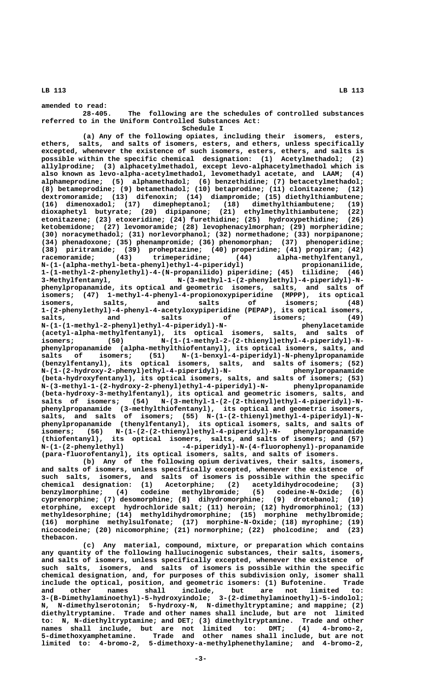**amended to read: 28-405. The following are the schedules of controlled substances referred to in the Uniform Controlled Substances Act:**

 **Schedule I**

**(a) Any of the following opiates, including their isomers, esters, ethers, salts, and salts of isomers, esters, and ethers, unless specifically excepted, whenever the existence of such isomers, esters, ethers, and salts is possible within the specific chemical designation: (1) Acetylmethadol; (2) allylprodine; (3) alphacetylmethadol, except levo-alphacetylmethadol which is also known as levo-alpha-acetylmethadol, levomethadyl acetate, and LAAM; (4) alphameprodine; (5) alphamethadol; (6) benzethidine; (7) betacetylmethadol; (8) betameprodine; (9) betamethadol; (10) betaprodine; (11) clonitazene; (12) dextromoramide; (13) difenoxin; (14) diampromide; (15) diethylthiambutene; (16) dimenoxadol; (17) dimepheptanol; (18) dimethylthiambutene; (19) dioxaphetyl butyrate; (20) dipipanone; (21) ethylmethylthiambutene; (22) etonitazene; (23) etoxeridine; (24) furethidine; (25) hydroxypethidine; (26) ketobemidone; (27) levomoramide; (28) levophenacylmorphan; (29) morpheridine; (30) noracymethadol; (31) norlevorphanol; (32) normethadone; (33) norpipanone; (34) phenadoxone; (35) phenampromide; (36) phenomorphan; (37) phenoperidine; (38) piritramide; (39) proheptazine; (40) properidine; (41) propiram; (42) racemoramide; (43) trimeperidine; (44) alpha-methylfentanyl, N-(1-(alpha-methyl-beta-phenyl)ethyl-4-piperidyl) propionanilide, 1-(1-methyl-2-phenylethyl)-4-(N-propanilido) piperidine; (45) tilidine; (46) 3-Methylfentanyl, N-(3-methyl-1-(2-phenylethyl)-4-piperidyl)-Nphenylpropanamide, its optical and geometric isomers, salts, and salts of isomers; (47) 1-methyl-4-phenyl-4-propionoxypiperidine (MPPP), its optical isomers, salts, and salts of isomers; (48) 1-(2-phenylethyl)-4-phenyl-4-acetyloxypiperidine (PEPAP), its optical isomers, salts, and salts of isomers; (49) N-(1-(1-methyl-2-phenyl)ethyl-4-piperidyl)-N- phenylacetamide (acetyl-alpha-methylfentanyl), its optical isomers, salts, and salts of** isomers; (50) N-(1-(1-methyl-2-(2-thienyl)ethyl-4-piperidyl)-N**phenylpropanamide (alpha-methylthiofentanyl), its optical isomers, salts, and salts of isomers; (51) N-(1-benxyl-4-piperidyl)-N-phenylpropanamide (benzylfentanyl), its optical isomers, salts, and salts of isomers; (52) N-(1-(2-hydroxy-2-phenyl)ethyl-4-piperidyl)-N- phenylpropanamide (beta-hydroxyfentanyl), its optical isomers, salts, and salts of isomers; (53) N-(3-methyl-1-(2-hydroxy-2-phenyl)ethyl-4-piperidyl)-N- phenylpropanamide (beta-hydroxy-3-methylfentanyl), its optical and geometric isomers, salts, and** salts of isomers; (54) N-(3-methyl-1-(2-(2-thienyl)ethyl-4-piperidyl)-N**phenylpropanamide (3-methylthiofentanyl), its optical and geometric isomers,** salts, and salts of isomers; (55) N-(1-(2-thienyl)methyl-4-piperidyl)-N**phenylpropanamide (thenylfentanyl), its optical isomers, salts, and salts of isomers; (56) N-(1-(2-(2-thienyl)ethyl-4-piperidyl)-N- phenylpropanamide (thiofentanyl), its optical isomers, salts, and salts of isomers; and (57) N-(1-(2-phenylethyl) -4-piperidyl)-N-(4-fluorophenyl)-propanamide (para-fluorofentanyl), its optical isomers, salts, and salts of isomers.**

**(b) Any of the following opium derivatives, their salts, isomers, and salts of isomers, unless specifically excepted, whenever the existence of such salts, isomers, and salts of isomers is possible within the specific chemical designation: (1) Acetorphine; (2) acetyldihydrocodeine; (3) benzylmorphine; (4) codeine methylbromide; (5) codeine-N-Oxide; (6) cyprenorphine; (7) desomorphine; (8) dihydromorphine; (9) drotebanol; (10) etorphine, except hydrochloride salt; (11) heroin; (12) hydromorphinol; (13) methyldesorphine; (14) methyldihydromorphine; (15) morphine methylbromide; (16) morphine methylsulfonate; (17) morphine-N-Oxide; (18) myrophine; (19) nicocodeine; (20) nicomorphine; (21) normorphine; (22) pholcodine; and (23) thebacon.**

**(c) Any material, compound, mixture, or preparation which contains any quantity of the following hallucinogenic substances, their salts, isomers, and salts of isomers, unless specifically excepted, whenever the existence of such salts, isomers, and salts of isomers is possible within the specific chemical designation, and, for purposes of this subdivision only, isomer shall include the optical, position, and geometric isomers: (1) Bufotenine. Trade and other names shall include, but are not limited to: 3-(B-Dimethylaminoethyl)-5-hydroxyindole; 3-(2-dimethylaminoethyl)-5-indolol; N, N-dimethylserotonin; 5-hydroxy-N, N-dimethyltryptamine; and mappine; (2) diethyltryptamine. Trade and other names shall include, but are not limited to: N, N-diethyltryptamine; and DET; (3) dimethyltryptamine. Trade and other names shall include, but are not limited to: DMT; (4) 4-bromo-2, 5-dimethoxyamphetamine. Trade and other names shall include, but are not limited to: 4-bromo-2, 5-dimethoxy-a-methylphenethylamine; and 4-bromo-2,**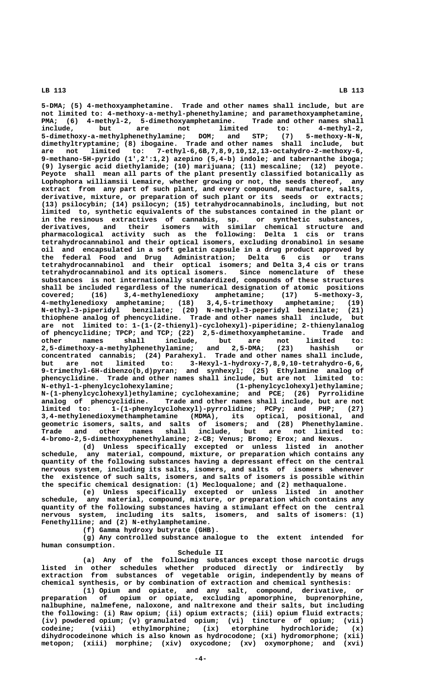**5-DMA; (5) 4-methoxyamphetamine. Trade and other names shall include, but are not limited to: 4-methoxy-a-methyl-phenethylamine; and paramethoxyamphetamine,** PMA; (6) 4-methyl-2, 5-dimethoxyamphetamine. Trade and other names shall<br>include, but are not limited to: 4-methyl-2, **include, but are not limited to: 4-methyl-2, 5-dimethoxy-a-methylphenethylamine; DOM; and STP; (7) 5-methoxy-N-N, dimethyltryptamine; (8) ibogaine. Trade and other names shall include, but are not limited to: 7-ethyl-6,6B,7,8,9,10,12,13-octahydro-2-methoxy-6, 9-methano-5H-pyrido (1',2':1,2) azepino (5,4-b) indole; and tabernanthe iboga; (9) lysergic acid diethylamide; (10) marijuana; (11) mescaline; (12) peyote. Peyote shall mean all parts of the plant presently classified botanically as Lophophora williamsii Lemaire, whether growing or not, the seeds thereof, any extract from any part of such plant, and every compound, manufacture, salts, derivative, mixture, or preparation of such plant or its seeds or extracts; (13) psilocybin; (14) psilocyn; (15) tetrahydrocannabinols, including, but not limited to, synthetic equivalents of the substances contained in the plant or in the resinous extractives of cannabis, sp. or synthetic substances, derivatives, and their isomers with similar chemical structure and pharmacological activity such as the following: Delta 1 cis or trans tetrahydrocannabinol and their optical isomers, excluding dronabinol in sesame oil and encapsulated in a soft gelatin capsule in a drug product approved by the federal Food and Drug Administration; Delta 6 cis or trans tetrahydrocannabinol and their optical isomers; and Delta 3,4 cis or trans tetrahydrocannabinol and its optical isomers. Since nomenclature of these substances is not internationally standardized, compounds of these structures shall be included regardless of the numerical designation of atomic positions covered; (16) 3,4-methylenedioxy amphetamine; (17) 5-methoxy-3, 4-methylenedioxy amphetamine; (18) 3,4,5-trimethoxy amphetamine; (19) N-ethyl-3-piperidyl benzilate; (20) N-methyl-3-peperidyl benzilate; (21) thiophene analog of phencyclidine. Trade and other names shall include, but are not limited to: 1-(1-(2-thienyl)-cyclohexyl)-piperidine; 2-thienylanalog of phencyclidine; TPCP; and TCP; (22) 2,5-dimethoxyamphetamine. Trade and other names shall include, but are not limited to: 2,5-dimethoxy-a-methylphenethylamine; and 2,5-DMA; (23) hashish or concentrated cannabis; (24) Parahexyl. Trade and other names shall include, but are not limited to: 3-Hexyl-1-hydroxy-7,8,9,10-tetrahydro-6,6, 9-trimethyl-6H-dibenzo(b,d)pyran; and synhexyl; (25) Ethylamine analog of phencyclidine. Trade and other names shall include, but are not limited to: N-ethyl-1-phenylcyclohexylamine; (1-phenylcyclohexyl)ethylamine; N-(1-phenylcyclohexyl)ethylamine; cyclohexamine; and PCE; (26) Pyrrolidine analog of phencyclidine. Trade and other names shall include, but are not limited to: 1-(1-phenylcyclohexyl)-pyrrolidine; PCPy; and PHP; (27) 3,4-methylenedioxymethamphetamine (MDMA), its optical, positional, and geometric isomers, salts, and salts of isomers; and (28) Phenethylamine. Trade and other names shall include, but are not limited to: 4-bromo-2,5-dimethoxyphenethylamine; 2-CB; Venus; Bromo; Erox; and Nexus.**

**(d) Unless specifically excepted or unless listed in another schedule, any material, compound, mixture, or preparation which contains any quantity of the following substances having a depressant effect on the central nervous system, including its salts, isomers, and salts of isomers whenever the existence of such salts, isomers, and salts of isomers is possible within the specific chemical designation: (1) Mecloqualone; and (2) methaqualone.**

**(e) Unless specifically excepted or unless listed in another schedule, any material, compound, mixture, or preparation which contains any quantity of the following substances having a stimulant effect on the central nervous system, including its salts, isomers, and salts of isomers: (1) Fenethylline; and (2) N-ethylamphetamine.**

**(f) Gamma hydroxy butyrate (GHB).**

**(g) Any controlled substance analogue to the extent intended for human consumption.**

**Schedule II** 

**(a) Any of the following substances except those narcotic drugs listed in other schedules whether produced directly or indirectly by extraction from substances of vegetable origin, independently by means of chemical synthesis, or by combination of extraction and chemical synthesis:**

**(1) Opium and opiate, and any salt, compound, derivative, or preparation of opium or opiate, excluding apomorphine, buprenorphine, nalbuphine, nalmefene, naloxone, and naltrexone and their salts, but including the following: (i) Raw opium; (ii) opium extracts; (iii) opium fluid extracts; (iv) powdered opium; (v) granulated opium; (vi) tincture of opium; (vii) codeine; (viii) ethylmorphine; (ix) etorphine hydrochloride; (x) dihydrocodeinone which is also known as hydrocodone; (xi) hydromorphone; (xii) metopon; (xiii) morphine; (xiv) oxycodone; (xv) oxymorphone; and (xvi)**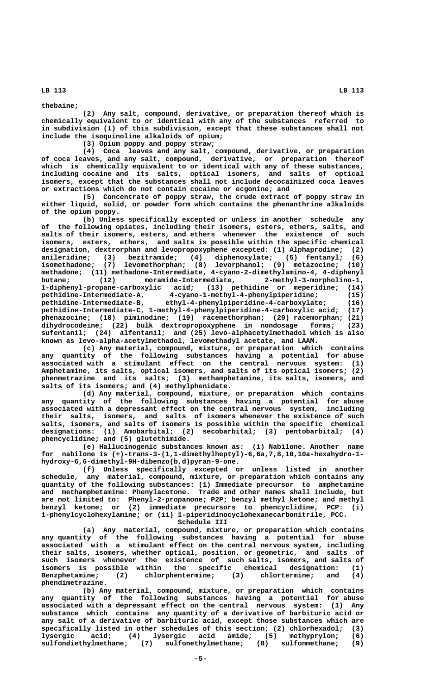**thebaine;**

**(2) Any salt, compound, derivative, or preparation thereof which is chemically equivalent to or identical with any of the substances referred to in subdivision (1) of this subdivision, except that these substances shall not include the isoquinoline alkaloids of opium;**

**(3) Opium poppy and poppy straw;**

**(4) Coca leaves and any salt, compound, derivative, or preparation of coca leaves, and any salt, compound, derivative, or preparation thereof which is chemically equivalent to or identical with any of these substances, including cocaine and its salts, optical isomers, and salts of optical isomers, except that the substances shall not include decocainized coca leaves or extractions which do not contain cocaine or ecgonine; and**

**(5) Concentrate of poppy straw, the crude extract of poppy straw in either liquid, solid, or powder form which contains the phenanthrine alkaloids of the opium poppy.**

**(b) Unless specifically excepted or unless in another schedule any of the following opiates, including their isomers, esters, ethers, salts, and salts of their isomers, esters, and ethers whenever the existence of such isomers, esters, ethers, and salts is possible within the specific chemical designation, dextrorphan and levopropoxyphene excepted: (1) Alphaprodine; (2) anileridine; (3) bezitramide; (4) diphenoxylate; (5) fentanyl; (6) isomethadone; (7) levomethorphan; (8) levorphanol; (9) metazocine; (10)** methadone; (11) methadone-Intermediate, 4-cyano-2-dimethylamino-4, 4-diphenyl<br>butane; (12) moramide-Intermediate, 2-methyl-3-morpholino-1, butane; (12) moramide-Intermediate, **1-diphenyl-propane-carboxylic acid; (13) pethidine or meperidine; (14) pethidine-Intermediate-A, 4-cyano-1-methyl-4-phenylpiperidine; (15) pethidine-Intermediate-B, ethyl-4-phenylpiperidine-4-carboxylate; (16) pethidine-Intermediate-C, 1-methyl-4-phenylpiperidine-4-carboxylic acid; (17) phenazocine; (18) piminodine; (19) racemethorphan; (20) racemorphan; (21) dihydrocodeine; (22) bulk dextropropoxyphene in nondosage forms; (23) sufentanil; (24) alfentanil; and (25) levo-alphacetylmethadol which is also known as levo-alpha-acetylmethadol, levomethadyl acetate, and LAAM.**

**(c) Any material, compound, mixture, or preparation which contains any quantity of the following substances having a potential for abuse associated with a stimulant effect on the central nervous system: (1) Amphetamine, its salts, optical isomers, and salts of its optical isomers; (2) phenmetrazine and its salts; (3) methamphetamine, its salts, isomers, and salts of its isomers; and (4) methylphenidate.**

**(d) Any material, compound, mixture, or preparation which contains any quantity of the following substances having a potential for abuse associated with a depressant effect on the central nervous system, including their salts, isomers, and salts of isomers whenever the existence of such salts, isomers, and salts of isomers is possible within the specific chemical designations: (1) Amobarbital; (2) secobarbital; (3) pentobarbital; (4) phencyclidine; and (5) glutethimide.**

**(e) Hallucinogenic substances known as: (1) Nabilone. Another name for nabilone is (+)-trans-3-(1,1-dimethylheptyl)-6,6a,7,8,10,10a-hexahydro-1 hydroxy-6,6-dimethyl-9H-dibenzo(b,d)pyran-9-one.**

**(f) Unless specifically excepted or unless listed in another schedule, any material, compound, mixture, or preparation which contains any quantity of the following substances: (1) Immediate precursor to amphetamine and methamphetamine: Phenylacetone. Trade and other names shall include, but are not limited to: Phenyl-2-propanone; P2P; benzyl methyl ketone; and methyl benzyl ketone; or (2) immediate precursors to phencyclidine, PCP: (i) 1-phenylcyclohexylamine; or (ii) 1-piperidinocyclohexanecarbonitrile, PCC.**

**Schedule III** 

**(a) Any material, compound, mixture, or preparation which contains any quantity of the following substances having a potential for abuse associated with a stimulant effect on the central nervous system, including their salts, isomers, whether optical, position, or geometric, and salts of such isomers whenever the existence of such salts, isomers, and salts of isomers is possible within the specific chemical designation: (1) Benzphetamine; (2) chlorphentermine; (3) chlortermine; and (4) phendimetrazine.**

**(b) Any material, compound, mixture, or preparation which contains any quantity of the following substances having a potential for abuse associated with a depressant effect on the central nervous system: (1) Any substance which contains any quantity of a derivative of barbituric acid or any salt of a derivative of barbituric acid, except those substances which are specifically listed in other schedules of this section; (2) chlorhexadol; (3) lysergic acid; (4) lysergic acid amide; (5) methyprylon; (6)** (7) sulfonethylmethane; (8) sulfonmethane; (9)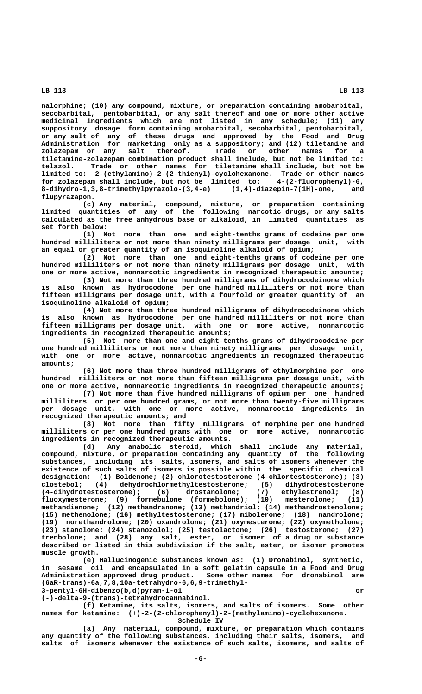**nalorphine; (10) any compound, mixture, or preparation containing amobarbital, secobarbital, pentobarbital, or any salt thereof and one or more other active medicinal ingredients which are not listed in any schedule; (11) any suppository dosage form containing amobarbital, secobarbital, pentobarbital, or any salt of any of these drugs and approved by the Food and Drug Administration for marketing only as a suppository; and (12) tiletamine and zolazepam or any salt thereof. Trade or other names for a tiletamine-zolazepam combination product shall include, but not be limited to: telazol. Trade or other names for tiletamine shall include, but not be limited to: 2-(ethylamino)-2-(2-thienyl)-cyclohexanone. Trade or other names for zolazepam shall include, but not be limited to: 4-(2-fluorophenyl)-6, 8-dihydro-1,3,8-trimethylpyrazolo-(3,4-e) (1,4)-diazepin-7(1H)-one, and flupyrazapon.**

**(c) Any material, compound, mixture, or preparation containing limited quantities of any of the following narcotic drugs, or any salts calculated as the free anhydrous base or alkaloid, in limited quantities as set forth below:**

**(1) Not more than one and eight-tenths grams of codeine per one hundred milliliters or not more than ninety milligrams per dosage unit, with an equal or greater quantity of an isoquinoline alkaloid of opium;**

**(2) Not more than one and eight-tenths grams of codeine per one hundred milliliters or not more than ninety milligrams per dosage unit, with one or more active, nonnarcotic ingredients in recognized therapeutic amounts;**

**(3) Not more than three hundred milligrams of dihydrocodeinone which is also known as hydrocodone per one hundred milliliters or not more than fifteen milligrams per dosage unit, with a fourfold or greater quantity of an isoquinoline alkaloid of opium;**

**(4) Not more than three hundred milligrams of dihydrocodeinone which is also known as hydrocodone per one hundred milliliters or not more than fifteen milligrams per dosage unit, with one or more active, nonnarcotic ingredients in recognized therapeutic amounts;**

**(5) Not more than one and eight-tenths grams of dihydrocodeine per one hundred milliliters or not more than ninety milligrams per dosage unit, with one or more active, nonnarcotic ingredients in recognized therapeutic amounts;**

**(6) Not more than three hundred milligrams of ethylmorphine per one hundred milliliters or not more than fifteen milligrams per dosage unit, with one or more active, nonnarcotic ingredients in recognized therapeutic amounts;**

**(7) Not more than five hundred milligrams of opium per one hundred milliliters or per one hundred grams, or not more than twenty-five milligrams per dosage unit, with one or more active, nonnarcotic ingredients in recognized therapeutic amounts; and**

**(8) Not more than fifty milligrams of morphine per one hundred milliliters or per one hundred grams with one or more active, nonnarcotic ingredients in recognized therapeutic amounts.**

**(d) Any anabolic steroid, which shall include any material, compound, mixture, or preparation containing any quantity of the following substances, including its salts, isomers, and salts of isomers whenever the existence of such salts of isomers is possible within the specific chemical designation: (1) Boldenone; (2) chlorotestosterone (4-chlortestosterone); (3) clostebol; (4) dehydrochlormethyltestosterone; (5) dihydrotestosterone (4-dihydrotestosterone); (6) drostanolone; (7) ethylestrenol; (8) fluoxymesterone; (9) formebulone (formebolone); (10) mesterolone; (11) methandienone; (12) methandranone; (13) methandriol; (14) methandrostenolone; (15) methenolone; (16) methyltestosterone; (17) mibolerone; (18) nandrolone; (19) norethandrolone; (20) oxandrolone; (21) oxymesterone; (22) oxymetholone; (23) stanolone; (24) stanozolol; (25) testolactone; (26) testosterone; (27) trenbolone; and (28) any salt, ester, or isomer of a drug or substance described or listed in this subdivision if the salt, ester, or isomer promotes muscle growth.**

**(e) Hallucinogenic substances known as: (1) Dronabinol, synthetic, in sesame oil and encapsulated in a soft gelatin capsule in a Food and Drug Administration approved drug product. Some other names for dronabinol are (6aR-trans)-6a,7,8,10a-tetrahydro-6,6,9-trimethyl- 3-pentyl-6H-dibenzo(b,d)pyran-1-o1 or**

 **(-)-delta-9-(trans)-tetrahydrocannabinol.**

**(f) Ketamine, its salts, isomers, and salts of isomers. Some other names for ketamine: (+)-2-(2-chlorophenyl)-2-(methylamino)-cyclohexanone.**

 **Schedule IV**

**(a) Any material, compound, mixture, or preparation which contains any quantity of the following substances, including their salts, isomers, and salts of isomers whenever the existence of such salts, isomers, and salts of**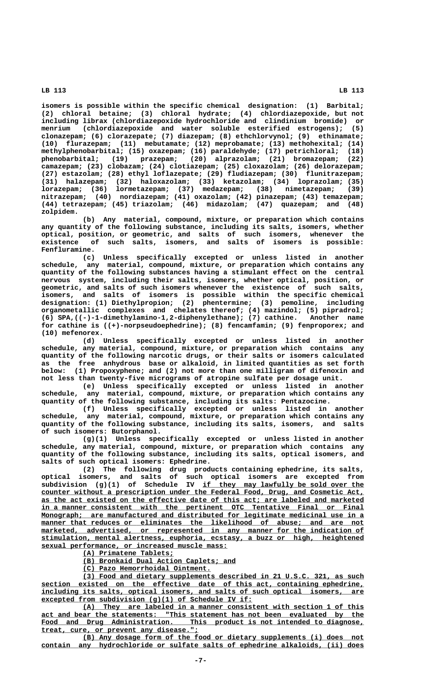**isomers is possible within the specific chemical designation: (1) Barbital; (2) chloral betaine; (3) chloral hydrate; (4) chlordiazepoxide, but not including librax (chlordiazepoxide hydrochloride and clindinium bromide) or menrium (chlordiazepoxide and water soluble esterified estrogens); (5) clonazepam; (6) clorazepate; (7) diazepam; (8) ethchlorvynol; (9) ethinamate; (10) flurazepam; (11) mebutamate; (12) meprobamate; (13) methohexital; (14) methylphenobarbital; (15) oxazepam; (16) paraldehyde; (17) petrichloral; (18) phenobarbital; (19) prazepam; (20) alprazolam; (21) bromazepam; (22) camazepam; (23) clobazam; (24) clotiazepam; (25) cloxazolam; (26) delorazepam; (27) estazolam; (28) ethyl loflazepate; (29) fludiazepam; (30) flunitrazepam; (31) halazepam; (32) haloxazolam; (33) ketazolam; (34) loprazolam; (35) lorazepam; (36) lormetazepam; (37) medazepam; (38) nimetazepam; (39) nitrazepam; (40) nordiazepam; (41) oxazolam; (42) pinazepam; (43) temazepam; (44) tetrazepam; (45) triazolam; (46) midazolam; (47) quazepam; and (48) zolpidem.**

**(b) Any material, compound, mixture, or preparation which contains any quantity of the following substance, including its salts, isomers, whether optical, position, or geometric, and salts of such isomers, whenever the existence of such salts, isomers, and salts of isomers is possible: Fenfluramine.**

**(c) Unless specifically excepted or unless listed in another schedule, any material, compound, mixture, or preparation which contains any quantity of the following substances having a stimulant effect on the central nervous system, including their salts, isomers, whether optical, position, or geometric, and salts of such isomers whenever the existence of such salts, isomers, and salts of isomers is possible within the specific chemical designation: (1) Diethylpropion; (2) phentermine; (3) pemoline, including organometallic complexes and chelates thereof; (4) mazindol; (5) pipradrol; (6) SPA,((-)-1-dimethylamino-1,2-diphenylethane); (7) cathine. Another name for cathine is ((+)-norpseudoephedrine); (8) fencamfamin; (9) fenproporex; and (10) mefenorex.**

**(d) Unless specifically excepted or unless listed in another schedule, any material, compound, mixture, or preparation which contains any quantity of the following narcotic drugs, or their salts or isomers calculated as the free anhydrous base or alkaloid, in limited quantities as set forth below: (1) Propoxyphene; and (2) not more than one milligram of difenoxin and not less than twenty-five micrograms of atropine sulfate per dosage unit.**

**(e) Unless specifically excepted or unless listed in another schedule, any material, compound, mixture, or preparation which contains any quantity of the following substance, including its salts: Pentazocine.**

**(f) Unless specifically excepted or unless listed in another schedule, any material, compound, mixture, or preparation which contains any quantity of the following substance, including its salts, isomers, and salts of such isomers: Butorphanol.**

**(g)(1) Unless specifically excepted or unless listed in another schedule, any material, compound, mixture, or preparation which contains any quantity of the following substance, including its salts, optical isomers, and salts of such optical isomers: Ephedrine.**

**(2) The following drug products containing ephedrine, its salts, optical isomers, and salts of such optical isomers are excepted from \_\_\_\_\_\_\_\_\_\_\_\_\_\_\_\_\_\_\_\_\_\_\_\_\_\_\_\_\_\_\_\_\_\_\_\_\_\_\_ subdivision (g)(1) of Schedule IV if they may lawfully be sold over the \_\_\_\_\_\_\_\_\_\_\_\_\_\_\_\_\_\_\_\_\_\_\_\_\_\_\_\_\_\_\_\_\_\_\_\_\_\_\_\_\_\_\_\_\_\_\_\_\_\_\_\_\_\_\_\_\_\_\_\_\_\_\_\_\_\_\_\_\_\_\_\_\_\_\_\_\_\_ counter without a prescription under the Federal Food, Drug, and Cosmetic Act, \_\_\_\_\_\_\_\_\_\_\_\_\_\_\_\_\_\_\_\_\_\_\_\_\_\_\_\_\_\_\_\_\_\_\_\_\_\_\_\_\_\_\_\_\_\_\_\_\_\_\_\_\_\_\_\_\_\_\_\_\_\_\_\_\_\_\_\_\_\_\_\_\_\_\_\_\_\_ as the act existed on the effective date of this act; are labeled and marketed \_\_\_\_\_\_\_\_\_\_\_\_\_\_\_\_\_\_\_\_\_\_\_\_\_\_\_\_\_\_\_\_\_\_\_\_\_\_\_\_\_\_\_\_\_\_\_\_\_\_\_\_\_\_\_\_\_\_\_\_\_\_\_\_\_\_\_\_\_\_\_\_\_\_\_\_\_\_ in a manner consistent with the pertinent OTC Tentative Final or Final Monograph; are manufactured and distributed for legitimate medicinal use in a**  $\begin{minipage}[c]{0.75\textwidth} \begin{itemize} \texttt{manner that reduces or eliminates the likelihood of abuse; and are not} \end{itemize} \end{minipage}$  $\frac{\text{marked,} \quad \text{advertised,} \quad \text{or} \quad \text{represented in} \quad \text{any} \quad \text{manner for the indication of}}{P}$  **\_\_\_\_\_\_\_\_\_\_\_\_\_\_\_\_\_\_\_\_\_\_\_\_\_\_\_\_\_\_\_\_\_\_\_\_\_\_\_\_\_\_\_\_\_\_\_\_\_\_\_\_\_\_\_\_\_\_\_\_\_\_\_\_\_\_\_\_\_\_\_\_\_\_\_\_\_\_ stimulation, mental alertness, euphoria, ecstasy, a buzz or high, heightened \_\_\_\_\_\_\_\_\_\_\_\_\_\_\_\_\_\_\_\_\_\_\_\_\_\_\_\_\_\_\_\_\_\_\_\_\_\_\_\_\_\_\_\_\_ sexual performance, or increased muscle mass:**

 **\_\_\_\_\_\_\_\_\_\_\_\_\_\_\_\_\_\_\_\_\_\_ (A) Primatene Tablets;**

 **\_\_\_\_\_\_\_\_\_\_\_\_\_\_\_\_\_\_\_\_\_\_\_\_\_\_\_\_\_\_\_\_\_\_\_\_\_ (B) Bronkaid Dual Action Caplets; and**

 **\_\_\_\_\_\_\_\_\_\_\_\_\_\_\_\_\_\_\_\_\_\_\_\_\_\_\_\_\_\_\_ (C) Pazo Hemorrhoidal Ointment.**

 **\_\_\_\_\_\_\_\_\_\_\_\_\_\_\_\_\_\_\_\_\_\_\_\_\_\_\_\_\_\_\_\_\_\_\_\_\_\_\_\_\_\_\_\_\_\_\_\_\_\_\_\_\_\_\_\_\_\_\_\_\_\_\_\_\_\_\_\_ (3) Food and dietary supplements described in 21 U.S.C. 321, as such \_\_\_\_\_\_\_\_\_\_\_\_\_\_\_\_\_\_\_\_\_\_\_\_\_\_\_\_\_\_\_\_\_\_\_\_\_\_\_\_\_\_\_\_\_\_\_\_\_\_\_\_\_\_\_\_\_\_\_\_\_\_\_\_\_\_\_\_\_\_\_\_\_\_\_\_\_\_ section existed on the effective date of this act, containing ephedrine, \_\_\_\_\_\_\_\_\_\_\_\_\_\_\_\_\_\_\_\_\_\_\_\_\_\_\_\_\_\_\_\_\_\_\_\_\_\_\_\_\_\_\_\_\_\_\_\_\_\_\_\_\_\_\_\_\_\_\_\_\_\_\_\_\_\_\_\_\_\_\_\_\_\_\_\_\_\_ including its salts, optical isomers, and salts of such optical isomers, are \_\_\_\_\_\_\_\_\_\_\_\_\_\_\_\_\_\_\_\_\_\_\_\_\_\_\_\_\_\_\_\_\_\_\_\_\_\_\_\_\_\_\_\_\_\_\_\_\_\_\_ excepted from subdivision (g)(1) of Schedule IV if:**

 **\_\_\_\_\_\_\_\_\_\_\_\_\_\_\_\_\_\_\_\_\_\_\_\_\_\_\_\_\_\_\_\_\_\_\_\_\_\_\_\_\_\_\_\_\_\_\_\_\_\_\_\_\_\_\_\_\_\_\_\_\_\_\_\_\_\_\_\_ (A) They are labeled in a manner consistent with section 1 of this \_\_\_\_\_\_\_\_\_\_\_\_\_\_\_\_\_\_\_\_\_\_\_\_\_\_\_\_\_\_\_\_\_\_\_\_\_\_\_\_\_\_\_\_\_\_\_\_\_\_\_\_\_\_\_\_\_\_\_\_\_\_\_\_\_\_\_\_\_\_\_\_\_\_\_\_\_\_ act and bear the statements: "This statement has not been evaluated by the \_\_\_\_\_\_\_\_\_\_\_\_\_\_\_\_\_\_\_\_\_\_\_\_\_\_\_\_\_\_\_\_\_\_\_\_\_\_\_\_\_\_\_\_\_\_\_\_\_\_\_\_\_\_\_\_\_\_\_\_\_\_\_\_\_\_\_\_\_\_\_\_\_\_\_\_\_\_ Food and Drug Administration. This product is not intended to diagnose, \_\_\_\_\_\_\_\_\_\_\_\_\_\_\_\_\_\_\_\_\_\_\_\_\_\_\_\_\_\_\_\_\_\_\_\_\_\_ treat, cure, or prevent any disease.";**

 **\_\_\_\_\_\_\_\_\_\_\_\_\_\_\_\_\_\_\_\_\_\_\_\_\_\_\_\_\_\_\_\_\_\_\_\_\_\_\_\_\_\_\_\_\_\_\_\_\_\_\_\_\_\_\_\_\_\_\_\_\_\_\_\_\_\_\_\_ (B) Any dosage form of the food or dietary supplements (i) does not \_\_\_\_\_\_\_\_\_\_\_\_\_\_\_\_\_\_\_\_\_\_\_\_\_\_\_\_\_\_\_\_\_\_\_\_\_\_\_\_\_\_\_\_\_\_\_\_\_\_\_\_\_\_\_\_\_\_\_\_\_\_\_\_\_\_\_\_\_\_\_\_\_\_\_\_\_\_ contain any hydrochloride or sulfate salts of ephedrine alkaloids, (ii) does**

 **-7-**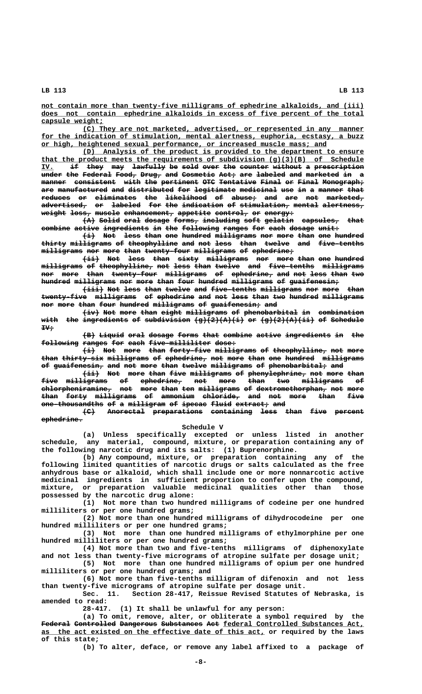not contain more than twenty-five milligrams of ephedrine alkaloids, and (iii)  **\_\_\_\_\_\_\_\_\_\_\_\_\_\_\_\_\_\_\_\_\_\_\_\_\_\_\_\_\_\_\_\_\_\_\_\_\_\_\_\_\_\_\_\_\_\_\_\_\_\_\_\_\_\_\_\_\_\_\_\_\_\_\_\_\_\_\_\_\_\_\_\_\_\_\_\_\_\_ does not contain ephedrine alkaloids in excess of five percent of the total** capsule weight;

 **\_\_\_\_\_\_\_\_\_\_\_\_\_\_\_\_\_\_\_\_\_\_\_\_\_\_\_\_\_\_\_\_\_\_\_\_\_\_\_\_\_\_\_\_\_\_\_\_\_\_\_\_\_\_\_\_\_\_\_\_\_\_\_\_\_\_\_\_ (C) They are not marketed, advertised, or represented in any manner** for the indication of stimulation, mental alertness, euphoria, ecstasy, a buzz  **\_\_\_\_\_\_\_\_\_\_\_\_\_\_\_\_\_\_\_\_\_\_\_\_\_\_\_\_\_\_\_\_\_\_\_\_\_\_\_\_\_\_\_\_\_\_\_\_\_\_\_\_\_\_\_\_\_\_\_\_\_\_\_\_\_\_\_\_\_ or high, heightened sexual performance, or increased muscle mass; and**

 **\_\_\_\_\_\_\_\_\_\_\_\_\_\_\_\_\_\_\_\_\_\_\_\_\_\_\_\_\_\_\_\_\_\_\_\_\_\_\_\_\_\_\_\_\_\_\_\_\_\_\_\_\_\_\_\_\_\_\_\_\_\_\_\_\_\_\_\_ (D) Analysis of the product is provided to the department to ensure \_\_\_\_\_\_\_\_\_\_\_\_\_\_\_\_\_\_\_\_\_\_\_\_\_\_\_\_\_\_\_\_\_\_\_\_\_\_\_\_\_\_\_\_\_\_\_\_\_\_\_\_\_\_\_\_\_\_\_\_\_\_\_\_\_\_\_\_\_\_\_\_\_\_\_\_\_\_ that the product meets the requirements of subdivision (g)(3)(B) of Schedule IV. if they may lawfully be sold over the counter without a prescription \_\_\_ —— ———— ——— ———————— —— ———— ———— ——— ——————— ——————— — ———————————** under the Federal Food, Drug, and Cosmetic Act, are labeled and marketed in a manner consistent with the pertinent OTC Tentative Final or Final Monograph; are manufactured and distributed for legitimate medicinal use in a manner that  $reduces$  or eliminates the likelihood of abuse; and are not marketed,  ${ad}$ vertised, or labeled for the indication of stimulation, mental alertness, **weight loss, muscle enhancement, appetite control, or energy: —————— ————— —————— ———————————— ———————— ———————— —— ———————**

 $\{A\}$  Solid oral dosage forms, including soft gelatin capsules, that **combine active ingredients in the following ranges for each dosage unit: ——————— —————— ——————————— —— ——— ————————— —————— ——— ———— —————— —————**

 $\overrightarrow{a}$  Not less than one hundred milligrams nor more than one hundred thirty milligrams of theophylline and not less than twelve and five-tenths  $m$ illigrams nor more than twenty-four milligrams of ephedrine;

 $\overline{\text{dist}}}$  Not <del>less</del> than sixty milligrams nor more than one hundred **milligrams of theophylline, not less than twelve and five-tenths milligrams —————————— —— ————————————— ——— ———— ———— —————— ——— ——————————— —————————** nor more than twenty-four milligrams of ephedrine, and not less than two hundred milligrams nor more than four hundred milligrams of guaifenesin*;* 

 $\overline{+i}\overline{i}$  Not less than twelve and five-tenths milligrams nor more than  $t$  wenty-five milligrams of ephedrine and not less than two hundred milligrams nor more than four hundred milligrams of guaifenesin; and

 $\overbrace{\text{i.v}}$  Not more than eight milligrams of phenobarbital in combination  ${\tt with\ \ the\ \ ingreduence\ of\ \ subdivision\ \ (g)(2)(A)(i)\ \ or\ \ (g)(2)(A)(2)(A)(ii)}$  of Schedule  $\mathbf{H}$ 

**(B) Liquid oral dosage forms that combine active ingredients in the ——— —————— ———— —————— ————— ———— ——————— —————— ——————————— —— —— following ranges for each five-milliliter dose: ————————— —————— ——— ———— ——————————————— —————**

 $\{\pm\}$  Not more than forty-five milligrams of theophylline, not more than thirty-six milligrams of ephedrine, not more than one hundred milligrams of guaifenesin, and not more than twelve milligrams of phenobarbital; and

 $\overrightarrow{4\texttt{ii}}$  Not more than five milligrams of phenylephrine, not more than **five milligrams of ephedrine, not more than two milligrams of ———— —————————— —— —————————— ——— ———— ———— ——— —————————— ——**  ${\tt chloepheniramine_{\tau}}$  not more than ten milligrams of dextromethorphan<sub>z</sub> not more **than forty milligrams of ammonium chloride, and not more than five ———— ————— —————————— —— ———————— ————————— ——— ——— ———— ———— ——— one-thousandths of a milligram of ipecac fluid extract; and** 

**(C) Anorectal preparations containing less than five percent ——— ————————— ———————————— —————————— ———— ———— ———— —————— ephedrine. ——————————**

#### *Schedule V* Schedule V

**(a) Unless specifically excepted or unless listed in another schedule, any material, compound, mixture, or preparation containing any of the following narcotic drug and its salts: (1) Buprenorphine.**

**(b) Any compound, mixture, or preparation containing any of the following limited quantities of narcotic drugs or salts calculated as the free anhydrous base or alkaloid, which shall include one or more nonnarcotic active medicinal ingredients in sufficient proportion to confer upon the compound, mixture, or preparation valuable medicinal qualities other than those possessed by the narcotic drug alone:**

**(1) Not more than two hundred milligrams of codeine per one hundred milliliters or per one hundred grams;**

**(2) Not more than one hundred milligrams of dihydrocodeine per one hundred milliliters or per one hundred grams;**

**(3) Not more than one hundred milligrams of ethylmorphine per one hundred milliliters or per one hundred grams;**

**(4) Not more than two and five-tenths milligrams of diphenoxylate and not less than twenty-five micrograms of atropine sulfate per dosage unit;**

**(5) Not more than one hundred milligrams of opium per one hundred milliliters or per one hundred grams; and**

**(6) Not more than five-tenths milligram of difenoxin and not less than twenty-five micrograms of atropine sulfate per dosage unit.**

**Sec. 11. Section 28-417, Reissue Revised Statutes of Nebraska, is amended to read:**

**28-417. (1) It shall be unlawful for any person:**

**(a) To omit, remove, alter, or obliterate a symbol required by the** Federal Controlled Dangerous Substances Act federal Controlled Substances Act,  **\_\_\_\_\_\_\_\_\_\_\_\_\_\_\_\_\_\_\_\_\_\_\_\_\_\_\_\_\_\_\_\_\_\_\_\_\_\_\_\_\_\_\_\_\_\_\_\_\_\_\_\_\_\_ as the act existed on the effective date of this act, or required by the laws of this state;**

**(b) To alter, deface, or remove any label affixed to a package of**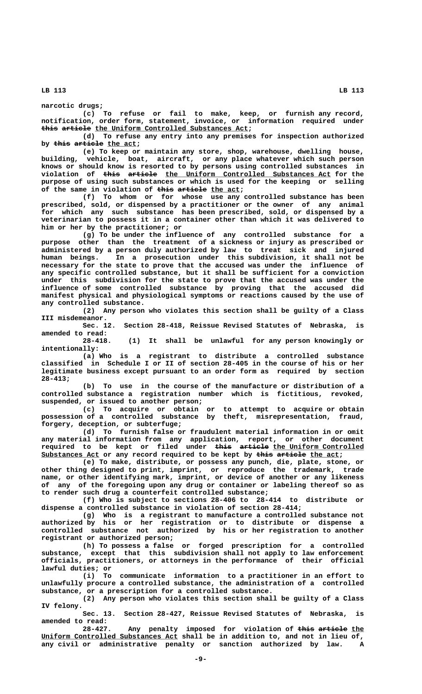**narcotic drugs;**

**(c) To refuse or fail to make, keep, or furnish any record, notification, order form, statement, invoice, or information required under** this article the Uniform Controlled Substances Act;

**(d) To refuse any entry into any premises for inspection authorized** by this article the act;

**(e) To keep or maintain any store, shop, warehouse, dwelling house, building, vehicle, boat, aircraft, or any place whatever which such person knows or should know is resorted to by persons using controlled substances in**  $violation$  of  $\frac{this}{this}$   $\frac{article}{thel}$   $\frac{the}{thel}$   $\frac{Uniform}{thol}$   $\frac{Controlled}{The}$   $Substances$   $Act$   $for$   $the$ **purpose of using such substances or which is used for the keeping or selling** of the same in violation of this article the act;

**(f) To whom or for whose use any controlled substance has been prescribed, sold, or dispensed by a practitioner or the owner of any animal for which any such substance has been prescribed, sold, or dispensed by a veterinarian to possess it in a container other than which it was delivered to him or her by the practitioner; or**

**(g) To be under the influence of any controlled substance for a purpose other than the treatment of a sickness or injury as prescribed or administered by a person duly authorized by law to treat sick and injured human beings. In a prosecution under this subdivision, it shall not be necessary for the state to prove that the accused was under the influence of any specific controlled substance, but it shall be sufficient for a conviction under this subdivision for the state to prove that the accused was under the influence of some controlled substance by proving that the accused did manifest physical and physiological symptoms or reactions caused by the use of any controlled substance.**

**(2) Any person who violates this section shall be guilty of a Class III misdemeanor.**

**Sec. 12. Section 28-418, Reissue Revised Statutes of Nebraska, is amended to read:**

**28-418. (1) It shall be unlawful for any person knowingly or intentionally:**

**(a) Who is a registrant to distribute a controlled substance classified in Schedule I or II of section 28-405 in the course of his or her legitimate business except pursuant to an order form as required by section 28-413;**

**(b) To use in the course of the manufacture or distribution of a controlled substance a registration number which is fictitious, revoked, suspended, or issued to another person;**

**(c) To acquire or obtain or to attempt to acquire or obtain possession of a controlled substance by theft, misrepresentation, fraud, forgery, deception, or subterfuge;**

**(d) To furnish false or fraudulent material information in or omit any material information from any application, report, or other document ———— ——————— \_\_\_\_\_\_\_\_\_\_\_\_\_\_\_\_\_\_\_\_\_\_ required to be kept or filed under this article the Uniform Controlled** Substances Act or any record required to be kept by this article the act;

**(e) To make, distribute, or possess any punch, die, plate, stone, or other thing designed to print, imprint, or reproduce the trademark, trade name, or other identifying mark, imprint, or device of another or any likeness of any of the foregoing upon any drug or container or labeling thereof so as to render such drug a counterfeit controlled substance;**

**(f) Who is subject to sections 28-406 to 28-414 to distribute or dispense a controlled substance in violation of section 28-414;**

**(g) Who is a registrant to manufacture a controlled substance not authorized by his or her registration or to distribute or dispense a controlled substance not authorized by his or her registration to another registrant or authorized person;**

**(h) To possess a false or forged prescription for a controlled substance, except that this subdivision shall not apply to law enforcement officials, practitioners, or attorneys in the performance of their official lawful duties; or**

**(i) To communicate information to a practitioner in an effort to unlawfully procure a controlled substance, the administration of a controlled substance, or a prescription for a controlled substance.**

**(2) Any person who violates this section shall be guilty of a Class IV felony.**

**Sec. 13. Section 28-427, Reissue Revised Statutes of Nebraska, is amended to read:**

28-427. Any penalty imposed for violation of this article the  **\_\_\_\_\_\_\_\_\_\_\_\_\_\_\_\_\_\_\_\_\_\_\_\_\_\_\_\_\_\_\_\_\_ Uniform Controlled Substances Act shall be in addition to, and not in lieu of, any civil or administrative penalty or sanction authorized by law. A**